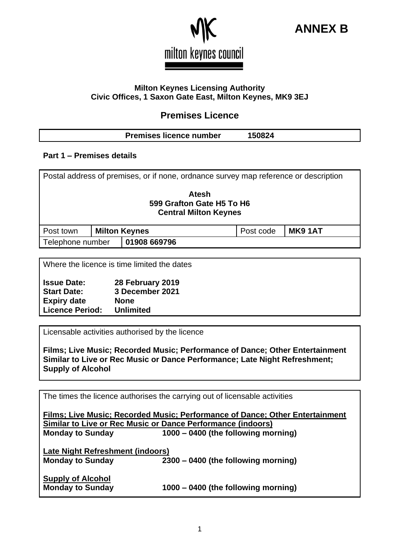



#### **Milton Keynes Licensing Authority Civic Offices, 1 Saxon Gate East, Milton Keynes, MK9 3EJ**

# **Premises Licence**

## **Premises licence number 150824**

## **Part 1 – Premises details**

| Postal address of premises, or if none, ordnance survey map reference or description |  |                      |           |                |  |
|--------------------------------------------------------------------------------------|--|----------------------|-----------|----------------|--|
| Atesh<br>599 Grafton Gate H5 To H6<br><b>Central Milton Keynes</b>                   |  |                      |           |                |  |
| Post town                                                                            |  | <b>Milton Keynes</b> | Post code | <b>MK9 1AT</b> |  |
| Telephone number                                                                     |  | 01908 669796         |           |                |  |
|                                                                                      |  |                      |           |                |  |

Where the licence is time limited the dates

| <b>Issue Date:</b>     | 28 February 2019 |
|------------------------|------------------|
| <b>Start Date:</b>     | 3 December 2021  |
| <b>Expiry date</b>     | <b>None</b>      |
| <b>Licence Period:</b> | <b>Unlimited</b> |

Licensable activities authorised by the licence

**Films; Live Music; Recorded Music; Performance of Dance; Other Entertainment Similar to Live or Rec Music or Dance Performance; Late Night Refreshment; Supply of Alcohol**

The times the licence authorises the carrying out of licensable activities

| Films; Live Music; Recorded Music; Performance of Dance; Other Entertainment |                                     |  |  |  |  |
|------------------------------------------------------------------------------|-------------------------------------|--|--|--|--|
| <b>Similar to Live or Rec Music or Dance Performance (indoors)</b>           |                                     |  |  |  |  |
| <b>Monday to Sunday</b>                                                      | 1000 – 0400 (the following morning) |  |  |  |  |
|                                                                              |                                     |  |  |  |  |
| Late Night Refreshment (indoors)                                             |                                     |  |  |  |  |
| <b>Monday to Sunday</b>                                                      | 2300 – 0400 (the following morning) |  |  |  |  |
|                                                                              |                                     |  |  |  |  |
| <b>Supply of Alcohol</b>                                                     |                                     |  |  |  |  |
| <b>Monday to Sunday</b>                                                      | 1000 – 0400 (the following morning) |  |  |  |  |
|                                                                              |                                     |  |  |  |  |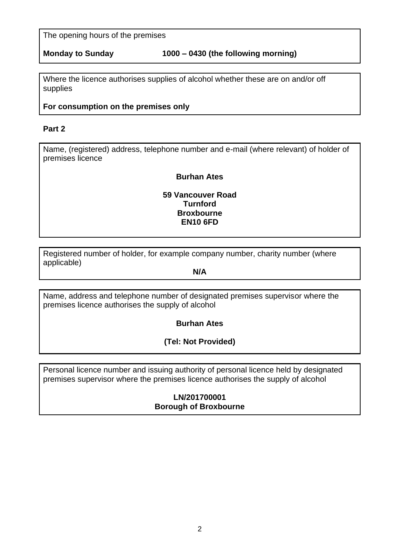The opening hours of the premises

Where the licence authorises supplies of alcohol whether these are on and/or off supplies

## **For consumption on the premises only**

## **Part 2**

Name, (registered) address, telephone number and e-mail (where relevant) of holder of premises licence

### **Burhan Ates**

**59 Vancouver Road Turnford Broxbourne EN10 6FD**

Registered number of holder, for example company number, charity number (where applicable)

**N/A**

Name, address and telephone number of designated premises supervisor where the premises licence authorises the supply of alcohol

**Burhan Ates**

**(Tel: Not Provided)**

Personal licence number and issuing authority of personal licence held by designated premises supervisor where the premises licence authorises the supply of alcohol

> **LN/201700001 Borough of Broxbourne**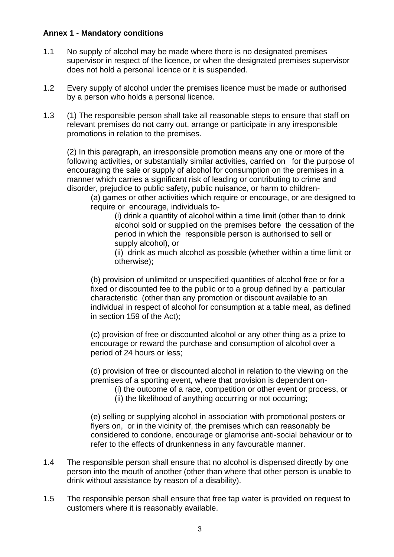### **Annex 1 - Mandatory conditions**

- 1.1 No supply of alcohol may be made where there is no designated premises supervisor in respect of the licence, or when the designated premises supervisor does not hold a personal licence or it is suspended.
- 1.2 Every supply of alcohol under the premises licence must be made or authorised by a person who holds a personal licence.
- 1.3 (1) The responsible person shall take all reasonable steps to ensure that staff on relevant premises do not carry out, arrange or participate in any irresponsible promotions in relation to the premises.

(2) In this paragraph, an irresponsible promotion means any one or more of the following activities, or substantially similar activities, carried on for the purpose of encouraging the sale or supply of alcohol for consumption on the premises in a manner which carries a significant risk of leading or contributing to crime and disorder, prejudice to public safety, public nuisance, or harm to children-

(a) games or other activities which require or encourage, or are designed to require or encourage, individuals to-

(i) drink a quantity of alcohol within a time limit (other than to drink alcohol sold or supplied on the premises before the cessation of the period in which the responsible person is authorised to sell or supply alcohol), or

(ii) drink as much alcohol as possible (whether within a time limit or otherwise);

(b) provision of unlimited or unspecified quantities of alcohol free or for a fixed or discounted fee to the public or to a group defined by a particular characteristic (other than any promotion or discount available to an individual in respect of alcohol for consumption at a table meal, as defined in section 159 of the Act);

(c) provision of free or discounted alcohol or any other thing as a prize to encourage or reward the purchase and consumption of alcohol over a period of 24 hours or less;

(d) provision of free or discounted alcohol in relation to the viewing on the premises of a sporting event, where that provision is dependent on-

- (i) the outcome of a race, competition or other event or process, or
- (ii) the likelihood of anything occurring or not occurring;

(e) selling or supplying alcohol in association with promotional posters or flyers on, or in the vicinity of, the premises which can reasonably be considered to condone, encourage or glamorise anti-social behaviour or to refer to the effects of drunkenness in any favourable manner.

- 1.4 The responsible person shall ensure that no alcohol is dispensed directly by one person into the mouth of another (other than where that other person is unable to drink without assistance by reason of a disability).
- 1.5 The responsible person shall ensure that free tap water is provided on request to customers where it is reasonably available.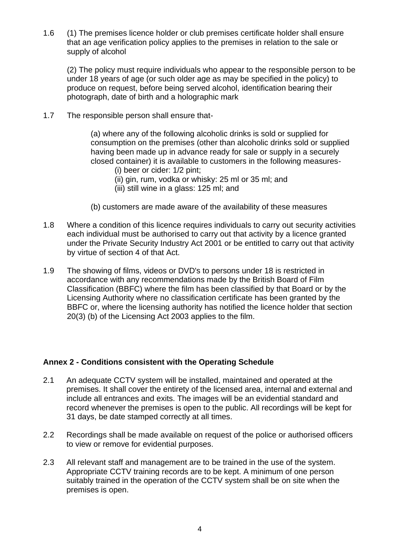1.6 (1) The premises licence holder or club premises certificate holder shall ensure that an age verification policy applies to the premises in relation to the sale or supply of alcohol

(2) The policy must require individuals who appear to the responsible person to be under 18 years of age (or such older age as may be specified in the policy) to produce on request, before being served alcohol, identification bearing their photograph, date of birth and a holographic mark

1.7 The responsible person shall ensure that-

(a) where any of the following alcoholic drinks is sold or supplied for consumption on the premises (other than alcoholic drinks sold or supplied having been made up in advance ready for sale or supply in a securely closed container) it is available to customers in the following measures-

- (i) beer or cider: 1/2 pint;
- (ii) gin, rum, vodka or whisky: 25 ml or 35 ml; and
- (iii) still wine in a glass: 125 ml; and
- (b) customers are made aware of the availability of these measures
- 1.8 Where a condition of this licence requires individuals to carry out security activities each individual must be authorised to carry out that activity by a licence granted under the Private Security Industry Act 2001 or be entitled to carry out that activity by virtue of section 4 of that Act.
- 1.9 The showing of films, videos or DVD's to persons under 18 is restricted in accordance with any recommendations made by the British Board of Film Classification (BBFC) where the film has been classified by that Board or by the Licensing Authority where no classification certificate has been granted by the BBFC or, where the licensing authority has notified the licence holder that section 20(3) (b) of the Licensing Act 2003 applies to the film.

## **Annex 2 - Conditions consistent with the Operating Schedule**

- 2.1 An adequate CCTV system will be installed, maintained and operated at the premises. It shall cover the entirety of the licensed area, internal and external and include all entrances and exits. The images will be an evidential standard and record whenever the premises is open to the public. All recordings will be kept for 31 days, be date stamped correctly at all times.
- 2.2 Recordings shall be made available on request of the police or authorised officers to view or remove for evidential purposes.
- 2.3 All relevant staff and management are to be trained in the use of the system. Appropriate CCTV training records are to be kept. A minimum of one person suitably trained in the operation of the CCTV system shall be on site when the premises is open.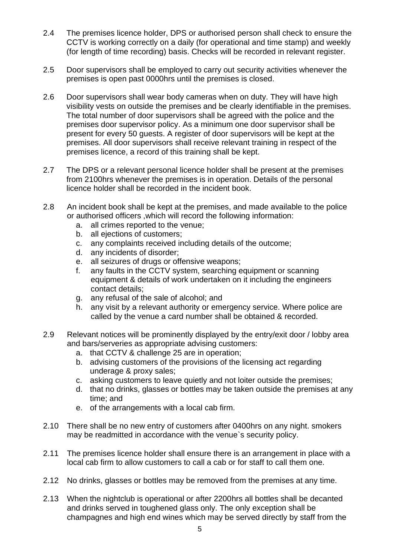- 2.4 The premises licence holder, DPS or authorised person shall check to ensure the CCTV is working correctly on a daily (for operational and time stamp) and weekly (for length of time recording) basis. Checks will be recorded in relevant register.
- 2.5 Door supervisors shall be employed to carry out security activities whenever the premises is open past 0000hrs until the premises is closed.
- 2.6 Door supervisors shall wear body cameras when on duty. They will have high visibility vests on outside the premises and be clearly identifiable in the premises. The total number of door supervisors shall be agreed with the police and the premises door supervisor policy. As a minimum one door supervisor shall be present for every 50 guests. A register of door supervisors will be kept at the premises. All door supervisors shall receive relevant training in respect of the premises licence, a record of this training shall be kept.
- 2.7 The DPS or a relevant personal licence holder shall be present at the premises from 2100hrs whenever the premises is in operation. Details of the personal licence holder shall be recorded in the incident book.
- 2.8 An incident book shall be kept at the premises, and made available to the police or authorised officers ,which will record the following information:
	- a. all crimes reported to the venue;
	- b. all ejections of customers;
	- c. any complaints received including details of the outcome;
	- d. any incidents of disorder;
	- e. all seizures of drugs or offensive weapons;
	- f. any faults in the CCTV system, searching equipment or scanning equipment & details of work undertaken on it including the engineers contact details;
	- g. any refusal of the sale of alcohol; and
	- h. any visit by a relevant authority or emergency service. Where police are called by the venue a card number shall be obtained & recorded.
- 2.9 Relevant notices will be prominently displayed by the entry/exit door / lobby area and bars/serveries as appropriate advising customers:
	- a. that CCTV & challenge 25 are in operation;
	- b. advising customers of the provisions of the licensing act regarding underage & proxy sales;
	- c. asking customers to leave quietly and not loiter outside the premises;
	- d. that no drinks, glasses or bottles may be taken outside the premises at any time; and
	- e. of the arrangements with a local cab firm.
- 2.10 There shall be no new entry of customers after 0400hrs on any night. smokers may be readmitted in accordance with the venue`s security policy.
- 2.11 The premises licence holder shall ensure there is an arrangement in place with a local cab firm to allow customers to call a cab or for staff to call them one.
- 2.12 No drinks, glasses or bottles may be removed from the premises at any time.
- 2.13 When the nightclub is operational or after 2200hrs all bottles shall be decanted and drinks served in toughened glass only. The only exception shall be champagnes and high end wines which may be served directly by staff from the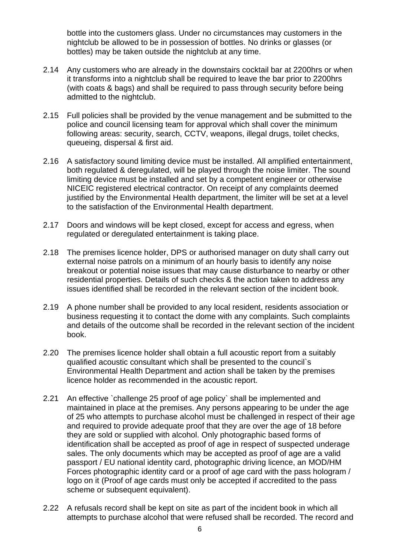bottle into the customers glass. Under no circumstances may customers in the nightclub be allowed to be in possession of bottles. No drinks or glasses (or bottles) may be taken outside the nightclub at any time.

- 2.14 Any customers who are already in the downstairs cocktail bar at 2200hrs or when it transforms into a nightclub shall be required to leave the bar prior to 2200hrs (with coats & bags) and shall be required to pass through security before being admitted to the nightclub.
- 2.15 Full policies shall be provided by the venue management and be submitted to the police and council licensing team for approval which shall cover the minimum following areas: security, search, CCTV, weapons, illegal drugs, toilet checks, queueing, dispersal & first aid.
- 2.16 A satisfactory sound limiting device must be installed. All amplified entertainment, both regulated & deregulated, will be played through the noise limiter. The sound limiting device must be installed and set by a competent engineer or otherwise NICEIC registered electrical contractor. On receipt of any complaints deemed justified by the Environmental Health department, the limiter will be set at a level to the satisfaction of the Environmental Health department.
- 2.17 Doors and windows will be kept closed, except for access and egress, when regulated or deregulated entertainment is taking place.
- 2.18 The premises licence holder, DPS or authorised manager on duty shall carry out external noise patrols on a minimum of an hourly basis to identify any noise breakout or potential noise issues that may cause disturbance to nearby or other residential properties. Details of such checks & the action taken to address any issues identified shall be recorded in the relevant section of the incident book.
- 2.19 A phone number shall be provided to any local resident, residents association or business requesting it to contact the dome with any complaints. Such complaints and details of the outcome shall be recorded in the relevant section of the incident book.
- 2.20 The premises licence holder shall obtain a full acoustic report from a suitably qualified acoustic consultant which shall be presented to the council`s Environmental Health Department and action shall be taken by the premises licence holder as recommended in the acoustic report.
- 2.21 An effective `challenge 25 proof of age policy` shall be implemented and maintained in place at the premises. Any persons appearing to be under the age of 25 who attempts to purchase alcohol must be challenged in respect of their age and required to provide adequate proof that they are over the age of 18 before they are sold or supplied with alcohol. Only photographic based forms of identification shall be accepted as proof of age in respect of suspected underage sales. The only documents which may be accepted as proof of age are a valid passport / EU national identity card, photographic driving licence, an MOD/HM Forces photographic identity card or a proof of age card with the pass hologram / logo on it (Proof of age cards must only be accepted if accredited to the pass scheme or subsequent equivalent).
- 2.22 A refusals record shall be kept on site as part of the incident book in which all attempts to purchase alcohol that were refused shall be recorded. The record and